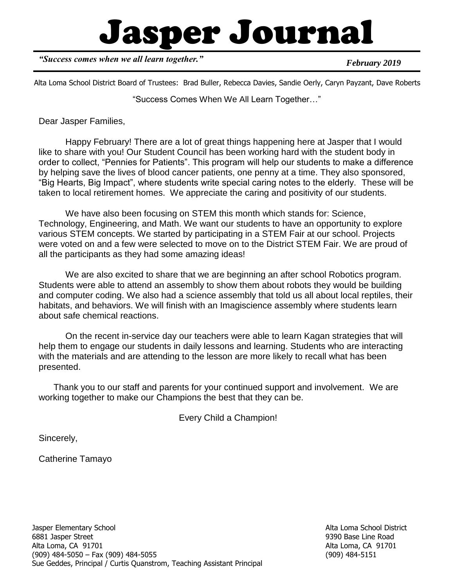# Jasper Journal

*"Success comes when we all learn together."*

*February 2019*

Alta Loma School District Board of Trustees: Brad Buller, Rebecca Davies, Sandie Oerly, Caryn Payzant, Dave Roberts

"Success Comes When We All Learn Together…"

Dear Jasper Families,

Happy February! There are a lot of great things happening here at Jasper that I would like to share with you! Our Student Council has been working hard with the student body in order to collect, "Pennies for Patients". This program will help our students to make a difference by helping save the lives of blood cancer patients, one penny at a time. They also sponsored, "Big Hearts, Big Impact", where students write special caring notes to the elderly. These will be taken to local retirement homes. We appreciate the caring and positivity of our students.

We have also been focusing on STEM this month which stands for: Science, Technology, Engineering, and Math. We want our students to have an opportunity to explore various STEM concepts. We started by participating in a STEM Fair at our school. Projects were voted on and a few were selected to move on to the District STEM Fair. We are proud of all the participants as they had some amazing ideas!

We are also excited to share that we are beginning an after school Robotics program. Students were able to attend an assembly to show them about robots they would be building and computer coding. We also had a science assembly that told us all about local reptiles, their habitats, and behaviors. We will finish with an Imagiscience assembly where students learn about safe chemical reactions.

On the recent in-service day our teachers were able to learn Kagan strategies that will help them to engage our students in daily lessons and learning. Students who are interacting with the materials and are attending to the lesson are more likely to recall what has been presented.

 Thank you to our staff and parents for your continued support and involvement. We are working together to make our Champions the best that they can be.

Every Child a Champion!

Sincerely,

Catherine Tamayo

Alta Loma School District 9390 Base Line Road Alta Loma, CA 91701 (909) 484-5151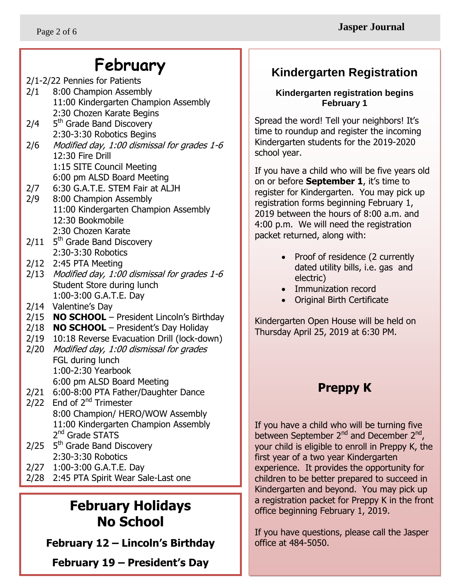## **February**

- 2/1-2/22 Pennies for Patients 2/1 8:00 Champion Assembly 11:00 Kindergarten Champion Assembly
- 2:30 Chozen Karate Begins  $2/4$ 5<sup>th</sup> Grade Band Discovery 2:30-3:30 Robotics Begins
- 2/6 Modified day, 1:00 dismissal for grades 1-6 12:30 Fire Drill 1:15 SITE Council Meeting
	- 6:00 pm ALSD Board Meeting
- 2/7 6:30 G.A.T.E. STEM Fair at ALJH
- 2/9 8:00 Champion Assembly 11:00 Kindergarten Champion Assembly 12:30 Bookmobile 2:30 Chozen Karate
- $2/11$  5<sup>th</sup> Grade Band Discovery 2:30-3:30 Robotics
- 2/12 2:45 PTA Meeting
- 2/13 Modified day, 1:00 dismissal for grades 1-6 Student Store during lunch 1:00-3:00 G.A.T.E. Day
- 2/14 Valentine's Day
- 2/15 **NO SCHOOL** President Lincoln's Birthday
- 2/18 **NO SCHOOL** President's Day Holiday
- 2/19 10:18 Reverse Evacuation Drill (lock-down)
- 2/20 Modified day, 1:00 dismissal for grades FGL during lunch 1:00-2:30 Yearbook 6:00 pm ALSD Board Meeting
- 2/21 6:00-8:00 PTA Father/Daughter Dance
- $2/22$  End of  $2<sup>nd</sup>$  Trimester 8:00 Champion/ HERO/WOW Assembly 11:00 Kindergarten Champion Assembly 2<sup>nd</sup> Grade STATS
- 2/25 5<sup>th</sup> Grade Band Discovery 2:30-3:30 Robotics
- 2/27 1:00-3:00 G.A.T.E. Day
- 2/28 2:45 PTA Spirit Wear Sale-Last one

## **February Holidays No School**

**February 12 – Lincoln's Birthday**

**February 19 – President's Day**

#### **Kindergarten Registration**

#### **Kindergarten registration begins February 1**

 time to roundup and register the incoming Spread the word! Tell your neighbors! It's Kindergarten students for the 2019-2020 school year.

If you have a child who will be five years old on or before **September 1**, it's time to register for Kindergarten. You may pick up registration forms beginning February 1, 2019 between the hours of 8:00 a.m. and 4:00 p.m. We will need the registration packet returned, along with:

- Proof of residence (2 currently dated utility bills, i.e. gas and electric)
- Immunization record
- Original Birth Certificate

Kindergarten Open House will be held on Thursday April 25, 2019 at 6:30 PM.

## **Preppy K**

If you have a child who will be turning five between September 2<sup>nd</sup> and December 2<sup>nd</sup>, your child is eligible to enroll in Preppy K, the first year of a two year Kindergarten experience. It provides the opportunity for children to be better prepared to succeed in Kindergarten and beyond. You may pick up a registration packet for Preppy K in the front office beginning February 1, 2019.

If you have questions, please call the Jasper office at 484-5050.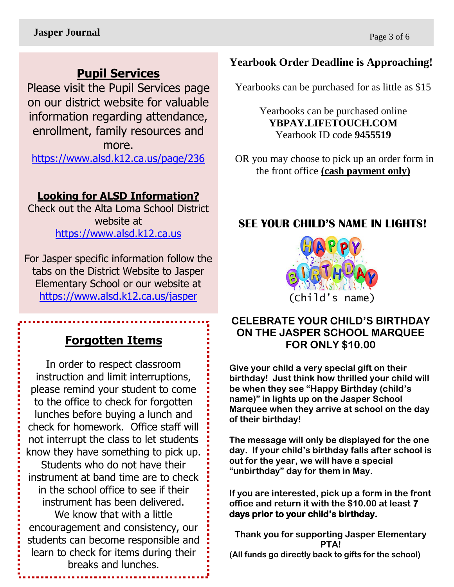## **Pupil Services**

Please visit the Pupil Services page on our district website for valuable information regarding attendance, enrollment, family resources and more.

<https://www.alsd.k12.ca.us/page/236>

#### **Looking for ALSD Information?**

Check out the Alta Loma School District website at [https://www.alsd.k12.ca.us](https://www.alsd.k12.ca.us/)

For Jasper specific information follow the tabs on the District Website to Jasper Elementary School or our website at <https://www.alsd.k12.ca.us/jasper>

#### **Forgotten Items**

In order to respect classroom instruction and limit interruptions, please remind your student to come to the office to check for forgotten lunches before buying a lunch and check for homework. Office staff will not interrupt the class to let students know they have something to pick up.

Students who do not have their instrument at band time are to check in the school office to see if their instrument has been delivered.

We know that with a little encouragement and consistency, our students can become responsible and learn to check for items during their breaks and lunches.

#### **Yearbook Order Deadline is Approaching!**

Yearbooks can be purchased for as little as \$15

Yearbooks can be purchased online **YBPAY.LIFETOUCH.COM** Yearbook ID code **9455519**

OR you may choose to pick up an order form in the front office **(cash payment only)**

#### **SEE YOUR CHILD'S NAME IN LIGHTS!**



#### **CELEBRATE YOUR CHILD'S BIRTHDAY ON THE JASPER SCHOOL MARQUEE FOR ONLY \$10.00**

**Give your child a very special gift on their birthday! Just think how thrilled your child will be when they see "Happy Birthday (child's name)" in lights up on the Jasper School Marquee when they arrive at school on the day of their birthday!**

**The message will only be displayed for the one day. If your child's birthday falls after school is out for the year, we will have a special "unbirthday" day for them in May.**

**If you are interested, pick up a form in the front office and return it with the \$10.00 at least 7 days prior to your child's birthday.** 

**Thank you for supporting Jasper Elementary PTA! (All funds go directly back to gifts for the school)**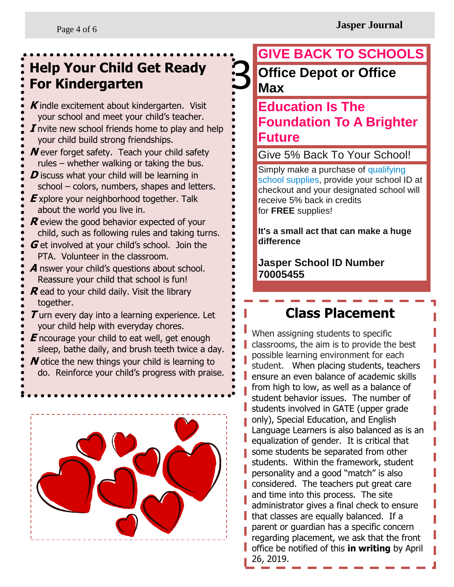#### Get Ready 3 Office Depo **Help Your Child Get Ready For Kindergarten**

**K** indle excitement about kindergarten. Visit your school and meet your child's teacher. **I** nvite new school friends home to play and help your child build strong friendships. **N** ever forget safety. Teach your child safety rules – whether walking or taking the bus. **D** iscuss what your child will be learning in school – colors, numbers, shapes and letters. **E** xplore your neighborhood together. Talk about the world you live in. **R** eview the good behavior expected of your child, such as following rules and taking turns. **G** et involved at your child's school. Join the PTA. Volunteer in the classroom.

**A** nswer your child's questions about school. Reassure your child that school is fun!

**R** ead to your child daily. Visit the library together.

**T** urn every day into a learning experience. Let your child help with everyday chores.

**E** ncourage your child to eat well, get enough sleep, bathe daily, and brush teeth twice a day. **N** otice the new things your child is learning to do. Reinforce your child's progress with praise.



## **GIVE BACK TO SCHOOLS Office Depot or Office Max**

### **Education Is The Foundation To A Brighter Future**

Give 5% Back To Your School!

Simply make a purchase of [qualifying](http://www.officedepot.com/speciallinks/us/od/docs/promo/backtoschool/qualifyingproducts.pdf)  [school supplies,](http://www.officedepot.com/speciallinks/us/od/docs/promo/backtoschool/qualifyingproducts.pdf) provide your school ID at checkout and your designated school will receive 5% back in credits for **FREE** supplies!

**It's a small act that can make a huge difference**

**Jasper School ID Number 70005455**

## **Class Placement**

When assigning students to specific classrooms, the aim is to provide the best possible learning environment for each student. When placing students, teachers ensure an even balance of academic skills from high to low, as well as a balance of student behavior issues. The number of students involved in GATE (upper grade only), Special Education, and English Language Learners is also balanced as is an equalization of gender. It is critical that some students be separated from other students. Within the framework, student personality and a good "match" is also considered. The teachers put great care and time into this process. The site administrator gives a final check to ensure that classes are equally balanced. If a parent or guardian has a specific concern regarding placement, we ask that the front office be notified of this **in writing** by April 26, 2019.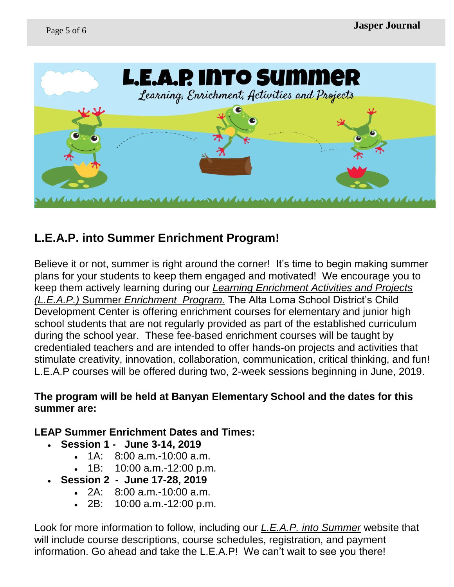

#### **L.E.A.P. into Summer Enrichment Program!**

Believe it or not, summer is right around the corner! It's time to begin making summer plans for your students to keep them engaged and motivated! We encourage you to keep them actively learning during our *Learning Enrichment Activities and Projects (L.E.A.P.)* Summer *Enrichment Program.* The Alta Loma School District's Child Development Center is offering enrichment courses for elementary and junior high school students that are not regularly provided as part of the established curriculum during the school year. These fee-based enrichment courses will be taught by credentialed teachers and are intended to offer hands-on projects and activities that stimulate creativity, innovation, collaboration, communication, critical thinking, and fun! L.E.A.P courses will be offered during two, 2-week sessions beginning in June, 2019.

#### **The program will be held at Banyan Elementary School and the dates for this summer are:**

#### **LEAP Summer Enrichment Dates and Times:**

- **Session 1 June 3-14, 2019**
	- 1A: 8:00 a.m.-10:00 a.m.
	- 1B: 10:00 a.m.-12:00 p.m.
- **Session 2 June 17-28, 2019**
	- 2A: 8:00 a.m.-10:00 a.m.
	- 2B: 10:00 a.m.-12:00 p.m.

Look for more information to follow, including our *L.E.A.P. into Summer* website that will include course descriptions, course schedules, registration, and payment information. Go ahead and take the L.E.A.P! We can't wait to see you there!